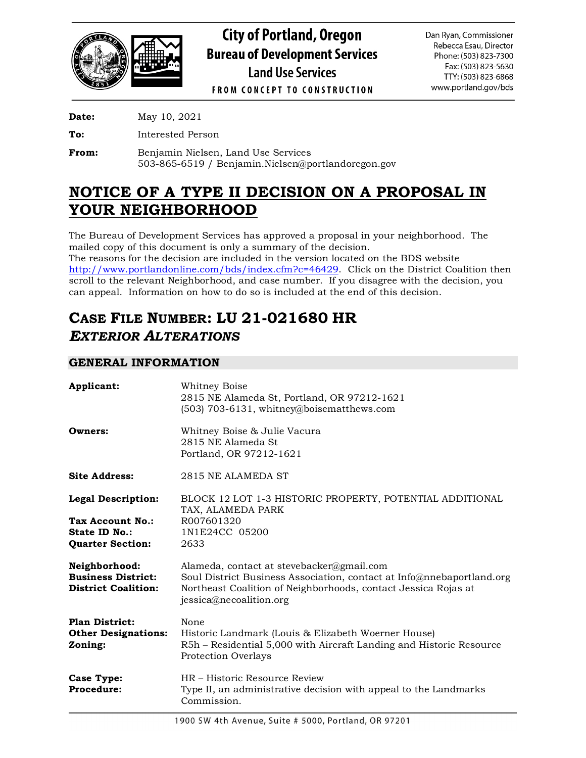

**City of Portland, Oregon Bureau of Development Services Land Use Services** 

Dan Ryan, Commissioner Rebecca Esau, Director Phone: (503) 823-7300 Fax: (503) 823-5630 TTY: (503) 823-6868 www.portland.gov/bds

**FROM CONCEPT TO CONSTRUCTION** 

**Date:** May 10, 2021

**To:** Interested Person

**From:** Benjamin Nielsen, Land Use Services 503-865-6519 / Benjamin.Nielsen@portlandoregon.gov

## **NOTICE OF A TYPE II DECISION ON A PROPOSAL IN YOUR NEIGHBORHOOD**

The Bureau of Development Services has approved a proposal in your neighborhood. The mailed copy of this document is only a summary of the decision. The reasons for the decision are included in the version located on the BDS website

[http://www.portlandonline.com/bds/index.cfm?c=46429.](http://www.portlandonline.com/bds/index.cfm?c=46429) Click on the District Coalition then scroll to the relevant Neighborhood, and case number. If you disagree with the decision, you can appeal. Information on how to do so is included at the end of this decision.

# **CASE FILE NUMBER: LU 21-021680 HR** *EXTERIOR ALTERATIONS*

## **GENERAL INFORMATION**

| Applicant:                                                                                | <b>Whitney Boise</b><br>2815 NE Alameda St, Portland, OR 97212-1621<br>$(503)$ 703-6131, whitney@boisematthews.com                                                                                              |
|-------------------------------------------------------------------------------------------|-----------------------------------------------------------------------------------------------------------------------------------------------------------------------------------------------------------------|
| Owners:                                                                                   | Whitney Boise & Julie Vacura<br>2815 NE Alameda St.<br>Portland, OR 97212-1621                                                                                                                                  |
| <b>Site Address:</b>                                                                      | 2815 NE ALAMEDA ST                                                                                                                                                                                              |
| <b>Legal Description:</b><br>Tax Account No.:<br>State ID No.:<br><b>Quarter Section:</b> | BLOCK 12 LOT 1-3 HISTORIC PROPERTY, POTENTIAL ADDITIONAL<br>TAX, ALAMEDA PARK<br>R007601320<br>1N1E24CC 05200<br>2633                                                                                           |
| Neighborhood:<br><b>Business District:</b><br><b>District Coalition:</b>                  | Alameda, contact at stevebacker@gmail.com<br>Soul District Business Association, contact at Info@nnebaportland.org<br>Northeast Coalition of Neighborhoods, contact Jessica Rojas at<br>jessica@necoalition.org |
| <b>Plan District:</b><br><b>Other Designations:</b><br>Zoning:                            | None<br>Historic Landmark (Louis & Elizabeth Woerner House)<br>R5h – Residential 5,000 with Aircraft Landing and Historic Resource<br><b>Protection Overlays</b>                                                |
| Case Type:<br>Procedure:                                                                  | HR – Historic Resource Review<br>Type II, an administrative decision with appeal to the Landmarks<br>Commission.                                                                                                |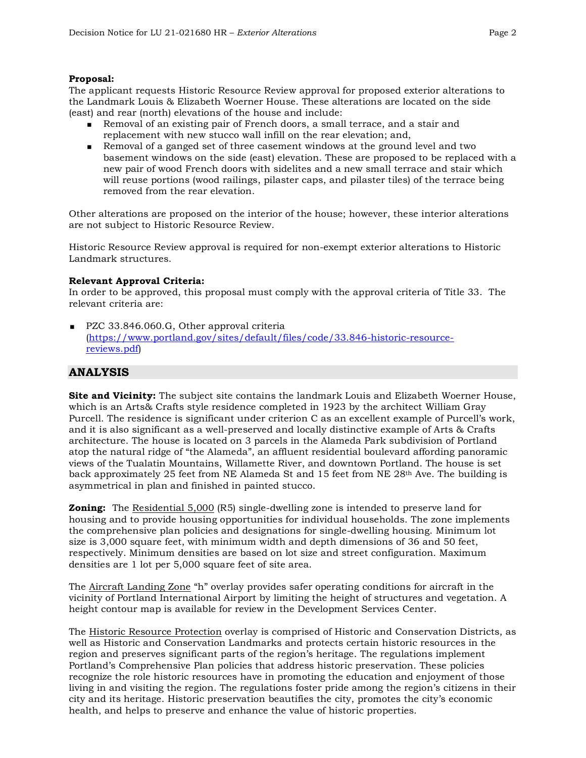#### **Proposal:**

The applicant requests Historic Resource Review approval for proposed exterior alterations to the Landmark Louis & Elizabeth Woerner House. These alterations are located on the side (east) and rear (north) elevations of the house and include:

- Removal of an existing pair of French doors, a small terrace, and a stair and replacement with new stucco wall infill on the rear elevation; and,
- Removal of a ganged set of three casement windows at the ground level and two basement windows on the side (east) elevation. These are proposed to be replaced with a new pair of wood French doors with sidelites and a new small terrace and stair which will reuse portions (wood railings, pilaster caps, and pilaster tiles) of the terrace being removed from the rear elevation.

Other alterations are proposed on the interior of the house; however, these interior alterations are not subject to Historic Resource Review.

Historic Resource Review approval is required for non-exempt exterior alterations to Historic Landmark structures.

#### **Relevant Approval Criteria:**

In order to be approved, this proposal must comply with the approval criteria of Title 33. The relevant criteria are:

PZC 33.846.060.G, Other approval criteria [\(https://www.portland.gov/sites/default/files/code/33.846-historic-resource](https://www.portland.gov/sites/default/files/code/33.846-historic-resource-reviews.pdf)[reviews.pdf\)](https://www.portland.gov/sites/default/files/code/33.846-historic-resource-reviews.pdf)

## **ANALYSIS**

**Site and Vicinity:** The subject site contains the landmark Louis and Elizabeth Woerner House, which is an Arts& Crafts style residence completed in 1923 by the architect William Gray Purcell. The residence is significant under criterion C as an excellent example of Purcell's work, and it is also significant as a well-preserved and locally distinctive example of Arts & Crafts architecture. The house is located on 3 parcels in the Alameda Park subdivision of Portland atop the natural ridge of "the Alameda", an affluent residential boulevard affording panoramic views of the Tualatin Mountains, Willamette River, and downtown Portland. The house is set back approximately 25 feet from NE Alameda St and 15 feet from NE  $28<sup>th</sup>$  Ave. The building is asymmetrical in plan and finished in painted stucco.

**Zoning:** The Residential 5,000 (R5) single-dwelling zone is intended to preserve land for housing and to provide housing opportunities for individual households. The zone implements the comprehensive plan policies and designations for single-dwelling housing. Minimum lot size is 3,000 square feet, with minimum width and depth dimensions of 36 and 50 feet, respectively. Minimum densities are based on lot size and street configuration. Maximum densities are 1 lot per 5,000 square feet of site area.

The Aircraft Landing Zone "h" overlay provides safer operating conditions for aircraft in the vicinity of Portland International Airport by limiting the height of structures and vegetation. A height contour map is available for review in the Development Services Center.

The Historic Resource Protection overlay is comprised of Historic and Conservation Districts, as well as Historic and Conservation Landmarks and protects certain historic resources in the region and preserves significant parts of the region's heritage. The regulations implement Portland's Comprehensive Plan policies that address historic preservation. These policies recognize the role historic resources have in promoting the education and enjoyment of those living in and visiting the region. The regulations foster pride among the region's citizens in their city and its heritage. Historic preservation beautifies the city, promotes the city's economic health, and helps to preserve and enhance the value of historic properties.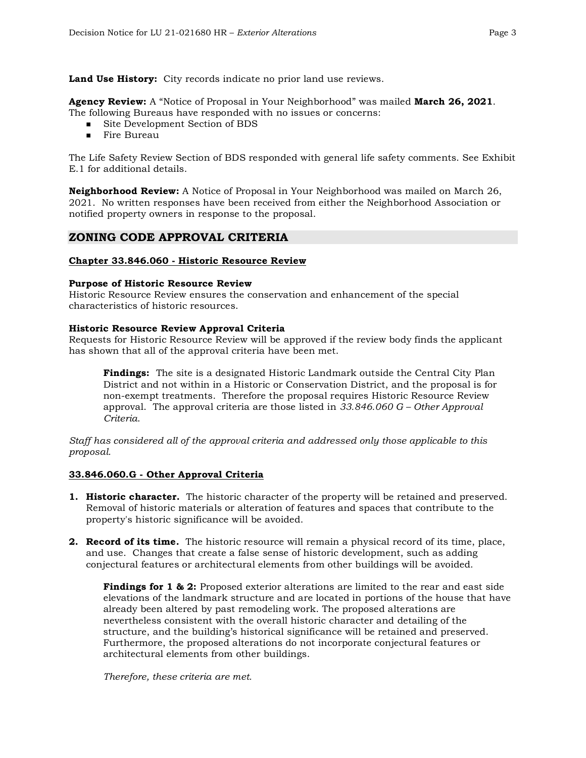**Land Use History:** City records indicate no prior land use reviews.

**Agency Review:** A "Notice of Proposal in Your Neighborhood" was mailed **March 26, 2021**. The following Bureaus have responded with no issues or concerns:

- Site Development Section of BDS
- **Fire Bureau**

The Life Safety Review Section of BDS responded with general life safety comments. See Exhibit E.1 for additional details.

**Neighborhood Review:** A Notice of Proposal in Your Neighborhood was mailed on March 26, 2021. No written responses have been received from either the Neighborhood Association or notified property owners in response to the proposal.

## **ZONING CODE APPROVAL CRITERIA**

#### **Chapter 33.846.060 - Historic Resource Review**

#### **Purpose of Historic Resource Review**

Historic Resource Review ensures the conservation and enhancement of the special characteristics of historic resources.

#### **Historic Resource Review Approval Criteria**

Requests for Historic Resource Review will be approved if the review body finds the applicant has shown that all of the approval criteria have been met.

**Findings:** The site is a designated Historic Landmark outside the Central City Plan District and not within in a Historic or Conservation District, and the proposal is for non-exempt treatments. Therefore the proposal requires Historic Resource Review approval. The approval criteria are those listed in *33.846.060 G – Other Approval Criteria*.

*Staff has considered all of the approval criteria and addressed only those applicable to this proposal.*

#### **33.846.060.G - Other Approval Criteria**

- **1. Historic character.** The historic character of the property will be retained and preserved. Removal of historic materials or alteration of features and spaces that contribute to the property's historic significance will be avoided.
- **2. Record of its time.** The historic resource will remain a physical record of its time, place, and use. Changes that create a false sense of historic development, such as adding conjectural features or architectural elements from other buildings will be avoided.

**Findings for 1 & 2:** Proposed exterior alterations are limited to the rear and east side elevations of the landmark structure and are located in portions of the house that have already been altered by past remodeling work. The proposed alterations are nevertheless consistent with the overall historic character and detailing of the structure, and the building's historical significance will be retained and preserved. Furthermore, the proposed alterations do not incorporate conjectural features or architectural elements from other buildings.

*Therefore, these criteria are met.*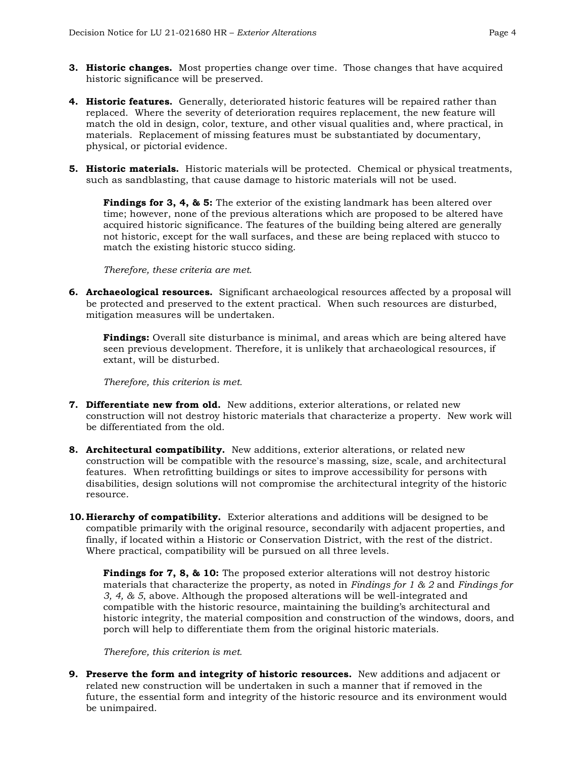- **3. Historic changes.** Most properties change over time. Those changes that have acquired historic significance will be preserved.
- **4. Historic features.** Generally, deteriorated historic features will be repaired rather than replaced. Where the severity of deterioration requires replacement, the new feature will match the old in design, color, texture, and other visual qualities and, where practical, in materials. Replacement of missing features must be substantiated by documentary, physical, or pictorial evidence.
- **5. Historic materials.** Historic materials will be protected. Chemical or physical treatments, such as sandblasting, that cause damage to historic materials will not be used.

**Findings for 3, 4, & 5:** The exterior of the existing landmark has been altered over time; however, none of the previous alterations which are proposed to be altered have acquired historic significance. The features of the building being altered are generally not historic, except for the wall surfaces, and these are being replaced with stucco to match the existing historic stucco siding.

*Therefore, these criteria are met.*

**6. Archaeological resources.** Significant archaeological resources affected by a proposal will be protected and preserved to the extent practical. When such resources are disturbed, mitigation measures will be undertaken.

**Findings:** Overall site disturbance is minimal, and areas which are being altered have seen previous development. Therefore, it is unlikely that archaeological resources, if extant, will be disturbed.

*Therefore, this criterion is met.*

- **7. Differentiate new from old.** New additions, exterior alterations, or related new construction will not destroy historic materials that characterize a property. New work will be differentiated from the old.
- **8. Architectural compatibility.** New additions, exterior alterations, or related new construction will be compatible with the resource's massing, size, scale, and architectural features. When retrofitting buildings or sites to improve accessibility for persons with disabilities, design solutions will not compromise the architectural integrity of the historic resource.
- **10. Hierarchy of compatibility.** Exterior alterations and additions will be designed to be compatible primarily with the original resource, secondarily with adjacent properties, and finally, if located within a Historic or Conservation District, with the rest of the district. Where practical, compatibility will be pursued on all three levels.

**Findings for 7, 8, & 10:** The proposed exterior alterations will not destroy historic materials that characterize the property, as noted in *Findings for 1 & 2* and *Findings for 3, 4, & 5*, above. Although the proposed alterations will be well-integrated and compatible with the historic resource, maintaining the building's architectural and historic integrity, the material composition and construction of the windows, doors, and porch will help to differentiate them from the original historic materials.

*Therefore, this criterion is met.*

**9. Preserve the form and integrity of historic resources.** New additions and adjacent or related new construction will be undertaken in such a manner that if removed in the future, the essential form and integrity of the historic resource and its environment would be unimpaired.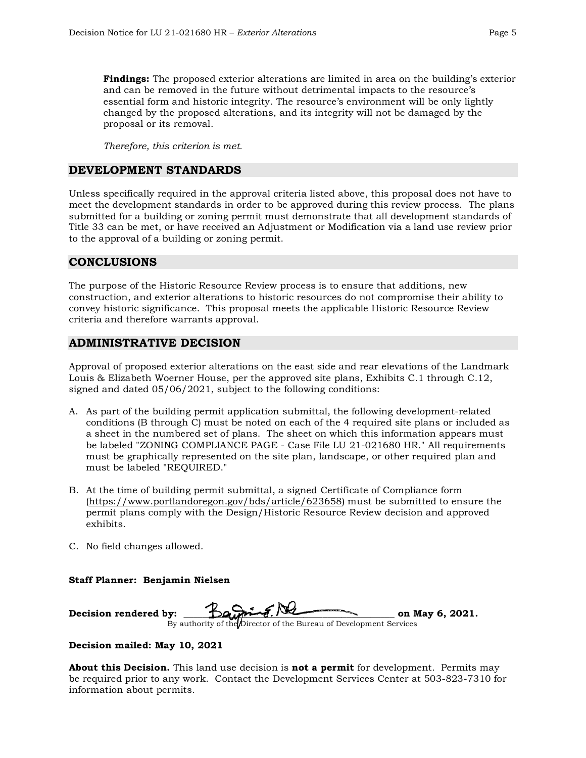**Findings:** The proposed exterior alterations are limited in area on the building's exterior and can be removed in the future without detrimental impacts to the resource's essential form and historic integrity. The resource's environment will be only lightly changed by the proposed alterations, and its integrity will not be damaged by the proposal or its removal.

*Therefore, this criterion is met.*

#### **DEVELOPMENT STANDARDS**

Unless specifically required in the approval criteria listed above, this proposal does not have to meet the development standards in order to be approved during this review process. The plans submitted for a building or zoning permit must demonstrate that all development standards of Title 33 can be met, or have received an Adjustment or Modification via a land use review prior to the approval of a building or zoning permit.

## **CONCLUSIONS**

The purpose of the Historic Resource Review process is to ensure that additions, new construction, and exterior alterations to historic resources do not compromise their ability to convey historic significance. This proposal meets the applicable Historic Resource Review criteria and therefore warrants approval.

## **ADMINISTRATIVE DECISION**

Approval of proposed exterior alterations on the east side and rear elevations of the Landmark Louis & Elizabeth Woerner House, per the approved site plans, Exhibits C.1 through C.12, signed and dated 05/06/2021, subject to the following conditions:

- A. As part of the building permit application submittal, the following development-related conditions (B through C) must be noted on each of the 4 required site plans or included as a sheet in the numbered set of plans. The sheet on which this information appears must be labeled "ZONING COMPLIANCE PAGE - Case File LU 21-021680 HR." All requirements must be graphically represented on the site plan, landscape, or other required plan and must be labeled "REQUIRED."
- B. At the time of building permit submittal, a signed Certificate of Compliance form [\(https://www.portlandoregon.gov/bds/article/623658\)](https://www.portlandoregon.gov/bds/article/623658) must be submitted to ensure the permit plans comply with the Design/Historic Resource Review decision and approved exhibits.
- C. No field changes allowed.

**Staff Planner: Benjamin Nielsen**

**Decision rendered by: \_\_\_\_\_\_\_\_\_\_\_\_\_\_\_\_\_\_\_\_\_\_\_\_\_\_\_\_\_\_\_\_\_\_\_\_\_\_\_\_\_\_\_\_ on May 6, 2021.** By authority of the Director of the Bureau of Development Services

#### **Decision mailed: May 10, 2021**

**About this Decision.** This land use decision is **not a permit** for development. Permits may be required prior to any work. Contact the Development Services Center at 503-823-7310 for information about permits.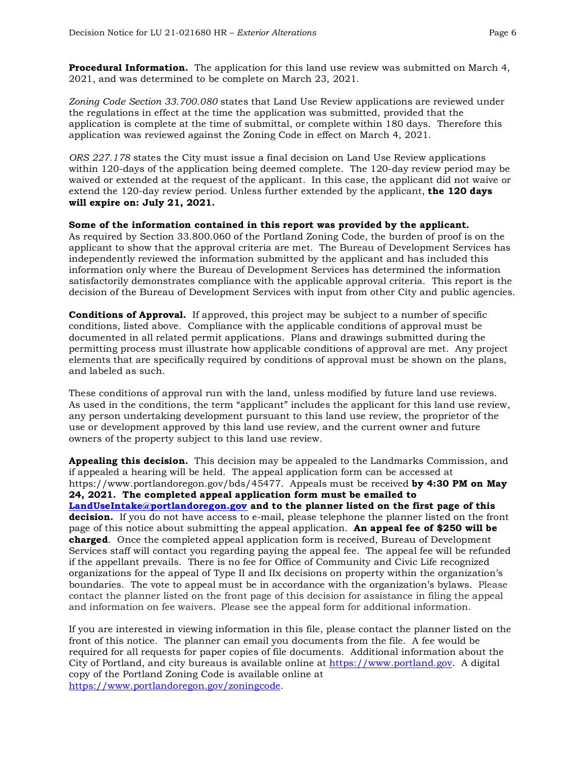**Procedural Information.** The application for this land use review was submitted on March 4, 2021, and was determined to be complete on March 23, 2021.

*Zoning Code Section 33.700.080* states that Land Use Review applications are reviewed under the regulations in effect at the time the application was submitted, provided that the application is complete at the time of submittal, or complete within 180 days. Therefore this application was reviewed against the Zoning Code in effect on March 4, 2021.

*ORS 227.178* states the City must issue a final decision on Land Use Review applications within 120-days of the application being deemed complete. The 120-day review period may be waived or extended at the request of the applicant. In this case, the applicant did not waive or extend the 120-day review period. Unless further extended by the applicant, **the 120 days will expire on: July 21, 2021.**

**Some of the information contained in this report was provided by the applicant.** As required by Section 33.800.060 of the Portland Zoning Code, the burden of proof is on the applicant to show that the approval criteria are met. The Bureau of Development Services has independently reviewed the information submitted by the applicant and has included this information only where the Bureau of Development Services has determined the information satisfactorily demonstrates compliance with the applicable approval criteria. This report is the decision of the Bureau of Development Services with input from other City and public agencies.

**Conditions of Approval.** If approved, this project may be subject to a number of specific conditions, listed above. Compliance with the applicable conditions of approval must be documented in all related permit applications. Plans and drawings submitted during the permitting process must illustrate how applicable conditions of approval are met. Any project elements that are specifically required by conditions of approval must be shown on the plans, and labeled as such.

These conditions of approval run with the land, unless modified by future land use reviews. As used in the conditions, the term "applicant" includes the applicant for this land use review, any person undertaking development pursuant to this land use review, the proprietor of the use or development approved by this land use review, and the current owner and future owners of the property subject to this land use review.

**Appealing this decision.** This decision may be appealed to the Landmarks Commission, and if appealed a hearing will be held. The appeal application form can be accessed at https://www.portlandoregon.gov/bds/45477. Appeals must be received **by 4:30 PM on May 24, 2021. The completed appeal application form must be emailed to [LandUseIntake@portlandoregon.gov](mailto:LandUseIntake@portlandoregon.gov) and to the planner listed on the first page of this decision.** If you do not have access to e-mail, please telephone the planner listed on the front page of this notice about submitting the appeal application. **An appeal fee of \$250 will be charged**. Once the completed appeal application form is received, Bureau of Development Services staff will contact you regarding paying the appeal fee. The appeal fee will be refunded if the appellant prevails. There is no fee for Office of Community and Civic Life recognized organizations for the appeal of Type II and IIx decisions on property within the organization's boundaries. The vote to appeal must be in accordance with the organization's bylaws. Please contact the planner listed on the front page of this decision for assistance in filing the appeal and information on fee waivers. Please see the appeal form for additional information.

If you are interested in viewing information in this file, please contact the planner listed on the front of this notice. The planner can email you documents from the file. A fee would be required for all requests for paper copies of file documents. Additional information about the City of Portland, and city bureaus is available online at [https://www.portland.gov.](https://www.portland.gov/) A digital copy of the Portland Zoning Code is available online at [https://www.portlandoregon.gov/zoningcode.](https://www.portlandoregon.gov/zoningcode)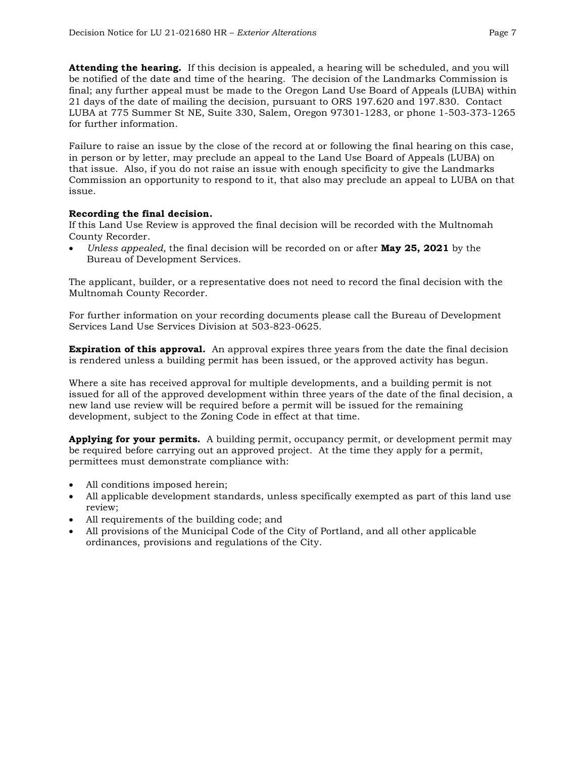**Attending the hearing.** If this decision is appealed, a hearing will be scheduled, and you will be notified of the date and time of the hearing. The decision of the Landmarks Commission is final; any further appeal must be made to the Oregon Land Use Board of Appeals (LUBA) within 21 days of the date of mailing the decision, pursuant to ORS 197.620 and 197.830. Contact LUBA at 775 Summer St NE, Suite 330, Salem, Oregon 97301-1283, or phone 1-503-373-1265 for further information.

Failure to raise an issue by the close of the record at or following the final hearing on this case, in person or by letter, may preclude an appeal to the Land Use Board of Appeals (LUBA) on that issue. Also, if you do not raise an issue with enough specificity to give the Landmarks Commission an opportunity to respond to it, that also may preclude an appeal to LUBA on that issue.

## **Recording the final decision.**

If this Land Use Review is approved the final decision will be recorded with the Multnomah County Recorder.

• *Unless appealed,* the final decision will be recorded on or after **May 25, 2021** by the Bureau of Development Services.

The applicant, builder, or a representative does not need to record the final decision with the Multnomah County Recorder.

For further information on your recording documents please call the Bureau of Development Services Land Use Services Division at 503-823-0625.

**Expiration of this approval.** An approval expires three years from the date the final decision is rendered unless a building permit has been issued, or the approved activity has begun.

Where a site has received approval for multiple developments, and a building permit is not issued for all of the approved development within three years of the date of the final decision, a new land use review will be required before a permit will be issued for the remaining development, subject to the Zoning Code in effect at that time.

**Applying for your permits.** A building permit, occupancy permit, or development permit may be required before carrying out an approved project. At the time they apply for a permit, permittees must demonstrate compliance with:

- All conditions imposed herein;
- All applicable development standards, unless specifically exempted as part of this land use review;
- All requirements of the building code; and
- All provisions of the Municipal Code of the City of Portland, and all other applicable ordinances, provisions and regulations of the City.